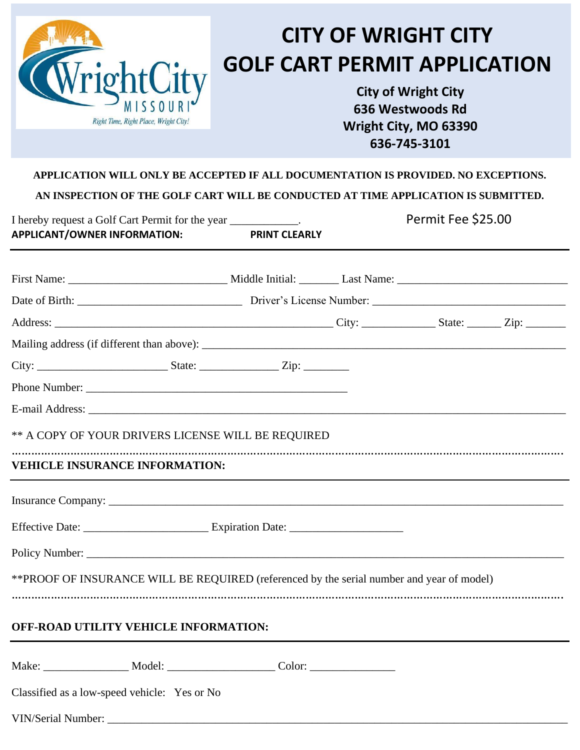| rightCity<br>Right Time, Right Place, Wright City!                                                                                           |  | <b>CITY OF WRIGHT CITY</b><br><b>GOLF CART PERMIT APPLICATION</b><br><b>City of Wright City</b><br>636 Westwoods Rd<br>Wright City, MO 63390<br>636-745-3101 |  |  |
|----------------------------------------------------------------------------------------------------------------------------------------------|--|--------------------------------------------------------------------------------------------------------------------------------------------------------------|--|--|
| APPLICATION WILL ONLY BE ACCEPTED IF ALL DOCUMENTATION IS PROVIDED. NO EXCEPTIONS.                                                           |  |                                                                                                                                                              |  |  |
| AN INSPECTION OF THE GOLF CART WILL BE CONDUCTED AT TIME APPLICATION IS SUBMITTED.                                                           |  |                                                                                                                                                              |  |  |
| Permit Fee \$25.00<br>I hereby request a Golf Cart Permit for the year ____________.<br>APPLICANT/OWNER INFORMATION:<br><b>PRINT CLEARLY</b> |  |                                                                                                                                                              |  |  |
|                                                                                                                                              |  |                                                                                                                                                              |  |  |
|                                                                                                                                              |  |                                                                                                                                                              |  |  |
|                                                                                                                                              |  |                                                                                                                                                              |  |  |
|                                                                                                                                              |  |                                                                                                                                                              |  |  |
|                                                                                                                                              |  |                                                                                                                                                              |  |  |
|                                                                                                                                              |  |                                                                                                                                                              |  |  |
|                                                                                                                                              |  |                                                                                                                                                              |  |  |
| ** A COPY OF YOUR DRIVERS LICENSE WILL BE REQUIRED                                                                                           |  |                                                                                                                                                              |  |  |
| <b>VEHICLE INSURANCE INFORMATION:</b>                                                                                                        |  |                                                                                                                                                              |  |  |
|                                                                                                                                              |  |                                                                                                                                                              |  |  |
|                                                                                                                                              |  |                                                                                                                                                              |  |  |
|                                                                                                                                              |  |                                                                                                                                                              |  |  |
| ** PROOF OF INSURANCE WILL BE REQUIRED (referenced by the serial number and year of model)                                                   |  |                                                                                                                                                              |  |  |
| OFF-ROAD UTILITY VEHICLE INFORMATION:                                                                                                        |  |                                                                                                                                                              |  |  |
| Make: ______________________ Model: _____________________________Color: ____________________________                                         |  |                                                                                                                                                              |  |  |
| Classified as a low-speed vehicle: Yes or No                                                                                                 |  |                                                                                                                                                              |  |  |
|                                                                                                                                              |  |                                                                                                                                                              |  |  |